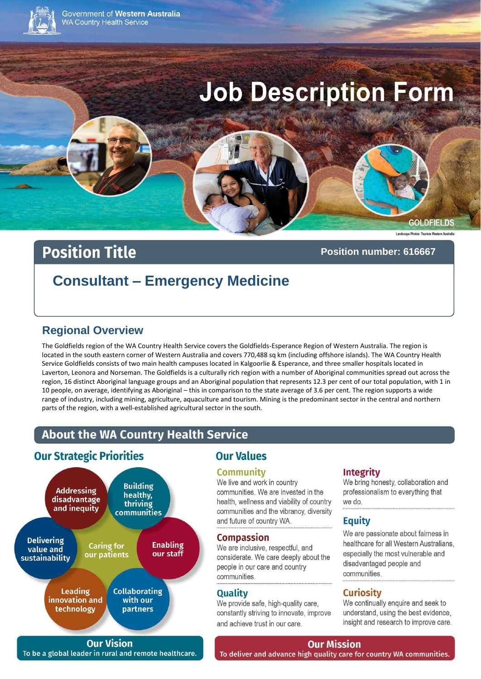

Government of Western Australia **WA Country Health Service** 

# **Job Description Form**

#### **GOLDFIELDS**

# **Position Title**

#### Position number: 616667

# **Consultant - Emergency Medicine**

## **Regional Overview**

The Goldfields region of the WA Country Health Service covers the Goldfields-Esperance Region of Western Australia. The region is located in the south eastern corner of Western Australia and covers 770,488 sq km (including offshore islands). The WA Country Health Service Goldfields consists of two main health campuses located in Kalgoorlie & Esperance, and three smaller hospitals located in Laverton, Leonora and Norseman. The Goldfields is a culturally rich region with a number of Aboriginal communities spread out across the region, 16 distinct Aboriginal language groups and an Aboriginal population that represents 12.3 per cent of our total population, with 1 in 10 people, on average, identifying as Aboriginal - this in comparison to the state average of 3.6 per cent. The region supports a wide range of industry, including mining, agriculture, aquaculture and tourism. Mining is the predominant sector in the central and northern parts of the region, with a well-established agricultural sector in the south.

# **About the WA Country Health Service**

# **Our Strategic Priorities**



**Our Vision** To be a global leader in rural and remote healthcare.

# **Our Values**

#### **Community**

We live and work in country communities. We are invested in the health, wellness and viability of country communities and the vibrancy, diversity and future of country WA.

#### **Compassion**

We are inclusive, respectful, and considerate. We care deeply about the people in our care and country communities.

#### **Quality**

We provide safe, high-quality care, constantly striving to innovate, improve and achieve trust in our care.

#### **Integrity**

We bring honesty, collaboration and professionalism to everything that we do.

#### **Equity**

We are passionate about fairness in healthcare for all Western Australians. especially the most vulnerable and disadvantaged people and communities

#### **Curiosity**

We continually enquire and seek to understand, using the best evidence, insight and research to improve care.

**Our Mission** 

To deliver and advance high quality care for country WA communities.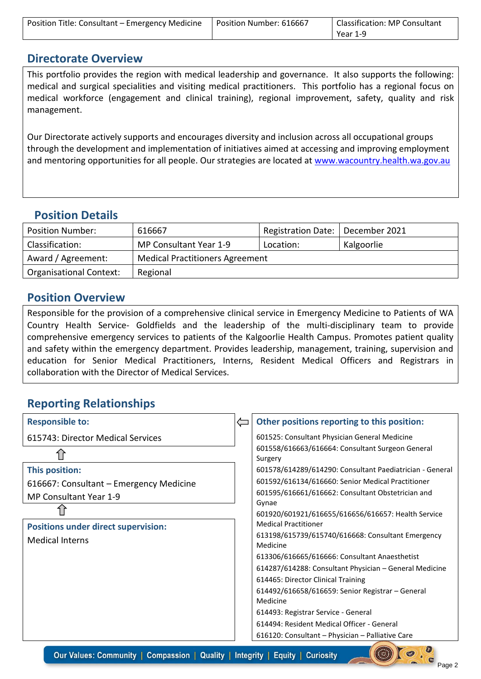| Position Title: Consultant - Emergency Medicine | Position Number: 616667 | Classification: MP Consultant |
|-------------------------------------------------|-------------------------|-------------------------------|
|                                                 |                         | Year 1-9                      |

#### **Directorate Overview**

This portfolio provides the region with medical leadership and governance. It also supports the following: medical and surgical specialities and visiting medical practitioners. This portfolio has a regional focus on medical workforce (engagement and clinical training), regional improvement, safety, quality and risk management.

Our Directorate actively supports and encourages diversity and inclusion across all occupational groups through the development and implementation of initiatives aimed at accessing and improving employment and mentoring opportunities for all people. Our strategies are located at [www.wacountry.health.wa.gov.au](http://www.wacountry.health.wa.gov.au/)

## **Position Details**

| <b>Position Number:</b>        | 616667                                 | Registration Date:   December 2021 |            |
|--------------------------------|----------------------------------------|------------------------------------|------------|
| Classification:                | MP Consultant Year 1-9                 | Location:                          | Kalgoorlie |
| Award / Agreement:             | <b>Medical Practitioners Agreement</b> |                                    |            |
| <b>Organisational Context:</b> | Regional                               |                                    |            |

## **Position Overview**

Responsible for the provision of a comprehensive clinical service in Emergency Medicine to Patients of WA Country Health Service- Goldfields and the leadership of the multi-disciplinary team to provide comprehensive emergency services to patients of the Kalgoorlie Health Campus. Promotes patient quality and safety within the emergency department. Provides leadership, management, training, supervision and education for Senior Medical Practitioners, Interns, Resident Medical Officers and Registrars in collaboration with the Director of Medical Services.

# **Reporting Relationships**

| <b>Responsible to:</b>                     | Other positions reporting to this position:                   |
|--------------------------------------------|---------------------------------------------------------------|
| 615743: Director Medical Services          | 601525: Consultant Physician General Medicine                 |
|                                            | 601558/616663/616664: Consultant Surgeon General<br>Surgery   |
| This position:                             | 601578/614289/614290: Consultant Paediatrician - General      |
| 616667: Consultant - Emergency Medicine    | 601592/616134/616660: Senior Medical Practitioner             |
| MP Consultant Year 1-9                     | 601595/616661/616662: Consultant Obstetrician and             |
|                                            | Gynae                                                         |
|                                            | 601920/601921/616655/616656/616657: Health Service            |
| <b>Positions under direct supervision:</b> | <b>Medical Practitioner</b>                                   |
| <b>Medical Interns</b>                     | 613198/615739/615740/616668: Consultant Emergency<br>Medicine |
|                                            | 613306/616665/616666: Consultant Anaesthetist                 |
|                                            | 614287/614288: Consultant Physician - General Medicine        |
|                                            | 614465: Director Clinical Training                            |
|                                            | 614492/616658/616659: Senior Registrar - General              |
|                                            | Medicine                                                      |
|                                            | 614493: Registrar Service - General                           |
|                                            | 614494: Resident Medical Officer - General                    |
|                                            | 616120: Consultant - Physician - Palliative Care              |
|                                            |                                                               |

Our Values: Community | Compassion | Quality | Integrity | Equity | Curiosity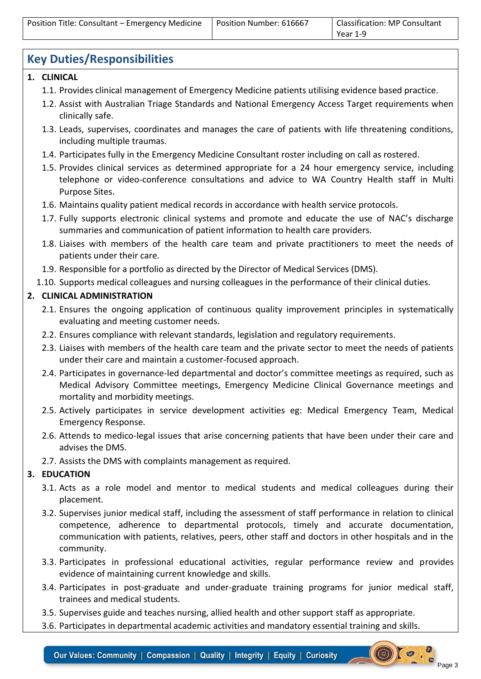| Position Title: Consultant - Emergency Medicine | Position Number: 616667 | Classification: MP Consultant |
|-------------------------------------------------|-------------------------|-------------------------------|
|                                                 |                         | Year 1-9                      |

# **Key Duties/Responsibilities**

#### **1. CLINICAL**

- 1.1. Provides clinical management of Emergency Medicine patients utilising evidence based practice.
- 1.2. Assist with Australian Triage Standards and National Emergency Access Target requirements when clinically safe.
- 1.3. Leads, supervises, coordinates and manages the care of patients with life threatening conditions, including multiple traumas.
- 1.4. Participates fully in the Emergency Medicine Consultant roster including on call as rostered.
- 1.5. Provides clinical services as determined appropriate for a 24 hour emergency service, including telephone or video-conference consultations and advice to WA Country Health staff in Multi Purpose Sites.
- 1.6. Maintains quality patient medical records in accordance with health service protocols.
- 1.7. Fully supports electronic clinical systems and promote and educate the use of NAC's discharge summaries and communication of patient information to health care providers.
- 1.8. Liaises with members of the health care team and private practitioners to meet the needs of patients under their care.
- 1.9. Responsible for a portfolio as directed by the Director of Medical Services (DMS).
- 1.10. Supports medical colleagues and nursing colleagues in the performance of their clinical duties.

#### **2. CLINICAL ADMINISTRATION**

- 2.1. Ensures the ongoing application of continuous quality improvement principles in systematically evaluating and meeting customer needs.
- 2.2. Ensures compliance with relevant standards, legislation and regulatory requirements.
- 2.3. Liaises with members of the health care team and the private sector to meet the needs of patients under their care and maintain a customer-focused approach.
- 2.4. Participates in governance-led departmental and doctor's committee meetings as required, such as Medical Advisory Committee meetings, Emergency Medicine Clinical Governance meetings and mortality and morbidity meetings.
- 2.5. Actively participates in service development activities eg: Medical Emergency Team, Medical Emergency Response.
- 2.6. Attends to medico-legal issues that arise concerning patients that have been under their care and advises the DMS.
- 2.7. Assists the DMS with complaints management as required.

#### **3. EDUCATION**

- 3.1. Acts as a role model and mentor to medical students and medical colleagues during their placement.
- 3.2. Supervises junior medical staff, including the assessment of staff performance in relation to clinical competence, adherence to departmental protocols, timely and accurate documentation, communication with patients, relatives, peers, other staff and doctors in other hospitals and in the community.
- 3.3. Participates in professional educational activities, regular performance review and provides evidence of maintaining current knowledge and skills.
- 3.4. Participates in post-graduate and under-graduate training programs for junior medical staff, trainees and medical students.
- 3.5. Supervises guide and teaches nursing, allied health and other support staff as appropriate.
- 3.6. Participates in departmental academic activities and mandatory essential training and skills.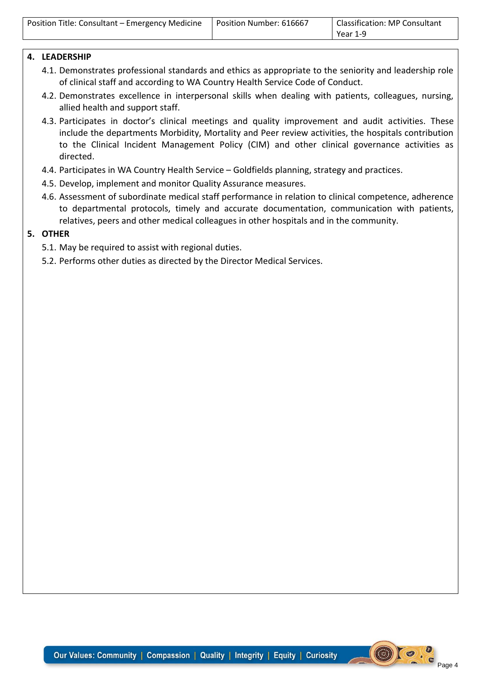| Position Title: Consultant - Emergency Medicine | Position Number: 616667 | Classification: MP Consultant |
|-------------------------------------------------|-------------------------|-------------------------------|
|                                                 |                         | Year 1-9                      |

#### **4. LEADERSHIP**

- 4.1. Demonstrates professional standards and ethics as appropriate to the seniority and leadership role of clinical staff and according to WA Country Health Service Code of Conduct.
- 4.2. Demonstrates excellence in interpersonal skills when dealing with patients, colleagues, nursing, allied health and support staff.
- 4.3. Participates in doctor's clinical meetings and quality improvement and audit activities. These include the departments Morbidity, Mortality and Peer review activities, the hospitals contribution to the Clinical Incident Management Policy (CIM) and other clinical governance activities as directed.
- 4.4. Participates in WA Country Health Service Goldfields planning, strategy and practices.
- 4.5. Develop, implement and monitor Quality Assurance measures.
- 4.6. Assessment of subordinate medical staff performance in relation to clinical competence, adherence to departmental protocols, timely and accurate documentation, communication with patients, relatives, peers and other medical colleagues in other hospitals and in the community.

#### **5. OTHER**

- 5.1. May be required to assist with regional duties.
- 5.2. Performs other duties as directed by the Director Medical Services.

 $\left( \bigoplus \right)$